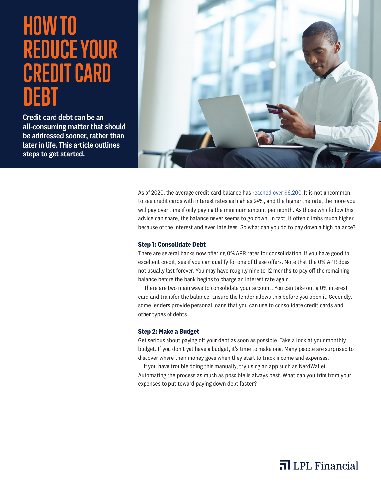# **HOW TO REDUCE YOUR CREDIT CARD DEBT**

Credit card debt can be an all-consuming matter that should be addressed sooner, rather than later in life. This article outlines steps to get started.



As of 2020, the average credit card balance has [reached over \\$6,200](https://www.usatoday.com/story/money/2020/02/12/credit-card-debt-average-balance-hits-6-200-and-limit-31-000/4722897002/). It is not uncommon to see credit cards with interest rates as high as 24%, and the higher the rate, the more you will pay over time if only paying the minimum amount per month. As those who follow this advice can share, the balance never seems to go down. In fact, it often climbs much higher because of the interest and even late fees. So what can you do to pay down a high balance?

### **Step 1: Consolidate Debt**

There are several banks now offering 0% APR rates for consolidation. If you have good to excellent credit, see if you can qualify for one of these offers. Note that the 0% APR does not usually last forever. You may have roughly nine to 12 months to pay off the remaining balance before the bank begins to charge an interest rate again.

There are two main ways to consolidate your account. You can take out a 0% interest card and transfer the balance. Ensure the lender allows this before you open it. Secondly, some lenders provide personal loans that you can use to consolidate credit cards and other types of debts.

## **Step 2: Make a Budget**

Get serious about paying off your debt as soon as possible. Take a look at your monthly budget. If you don't yet have a budget, it's time to make one. Many people are surprised to discover where their money goes when they start to track income and expenses.

If you have trouble doing this manually, try using an app such as NerdWallet. Automating the process as much as possible is always best. What can you trim from your expenses to put toward paying down debt faster?